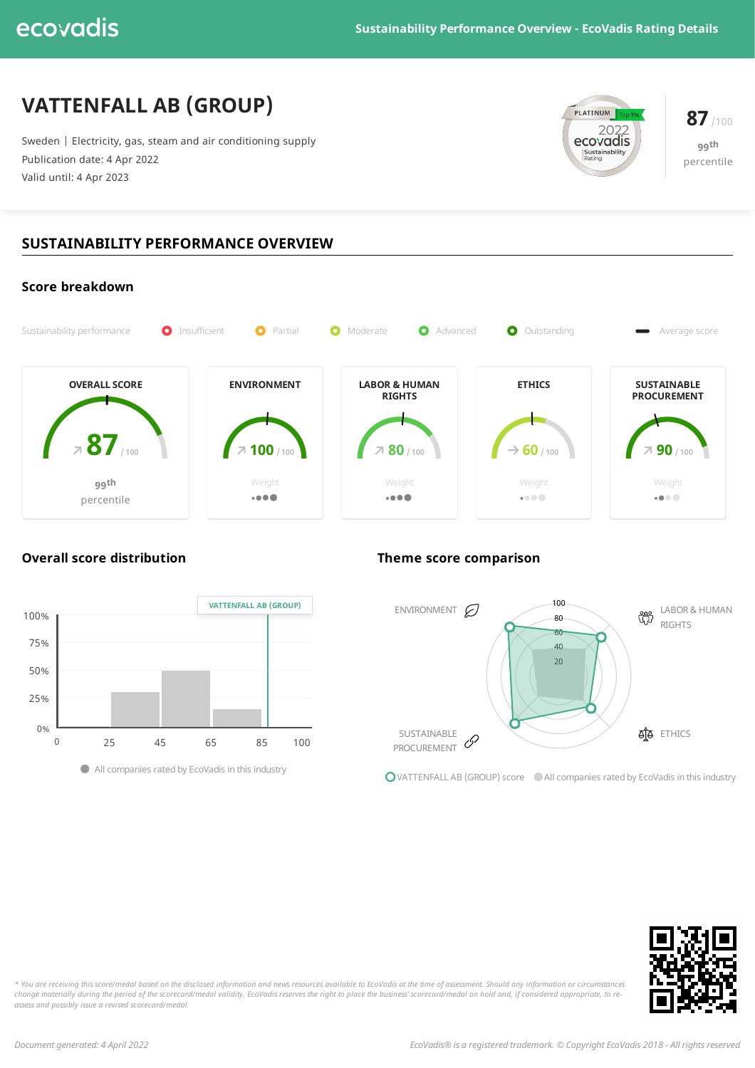# **VATTENFALL AB (GROUP)**

Sweden | Electricity, gas, steam and air conditioning supply Publication date: 4 Apr 2022 Valid until: 4 Apr 2023



**99 th** percentile

# **SUSTAINABILITY PERFORMANCE OVERVIEW**





**Overall score distribution Theme score comparison**



**O**VATTENFALL AB (GROUP) score All companies rated by EcoVadis in this industry



\* You are receiving this score/medal based on the disclosed information and news resources available to EcoVadis at the time of assessment. Should any information or circumstances change materially during the period of the scorecard/medal validity, EcoVadis reserves the right to place the business' scorecard/medal on hold and, if considered appropriate, to re*assess and possibly issue a revised scorecard/medal.*